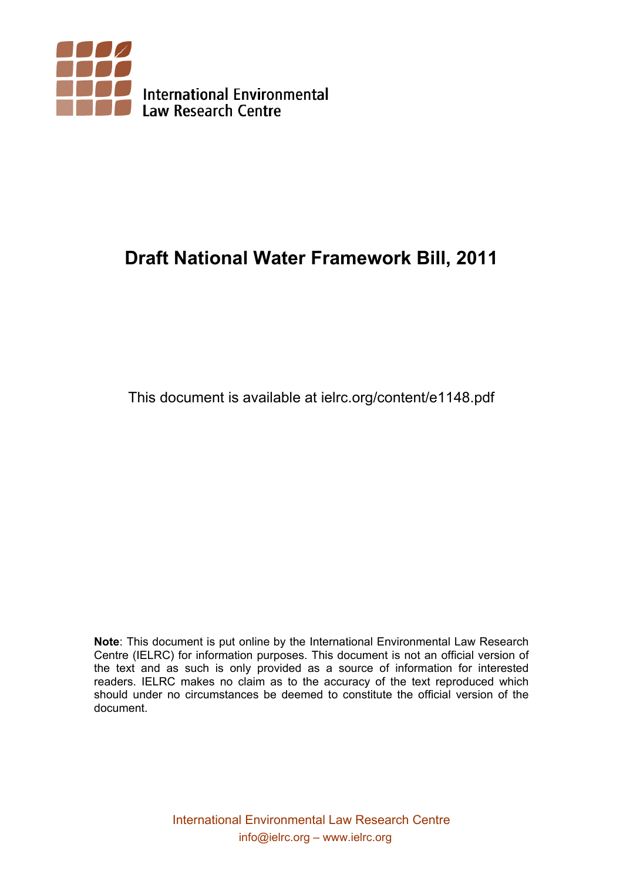

# **Draft National Water Framework Bill, 2011**

This document is available at ielrc.org/content/e1148.pdf

**Note**: This document is put online by the International Environmental Law Research Centre (IELRC) for information purposes. This document is not an official version of the text and as such is only provided as a source of information for interested readers. IELRC makes no claim as to the accuracy of the text reproduced which should under no circumstances be deemed to constitute the official version of the document.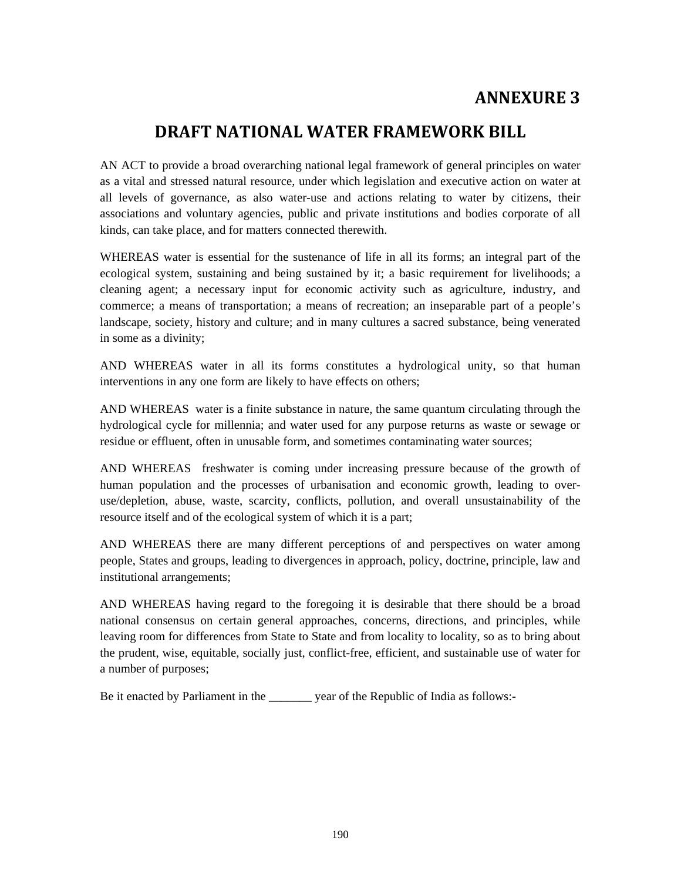# **ANNEXURE 3**

# **DRAFT NATIONAL WATER FRAMEWORK BILL**

AN ACT to provide a broad overarching national legal framework of general principles on water as a vital and stressed natural resource, under which legislation and executive action on water at all levels of governance, as also water-use and actions relating to water by citizens, their associations and voluntary agencies, public and private institutions and bodies corporate of all kinds, can take place, and for matters connected therewith.

WHEREAS water is essential for the sustenance of life in all its forms; an integral part of the ecological system, sustaining and being sustained by it; a basic requirement for livelihoods; a cleaning agent; a necessary input for economic activity such as agriculture, industry, and commerce; a means of transportation; a means of recreation; an inseparable part of a people's landscape, society, history and culture; and in many cultures a sacred substance, being venerated in some as a divinity;

AND WHEREAS water in all its forms constitutes a hydrological unity, so that human interventions in any one form are likely to have effects on others;

AND WHEREAS water is a finite substance in nature, the same quantum circulating through the hydrological cycle for millennia; and water used for any purpose returns as waste or sewage or residue or effluent, often in unusable form, and sometimes contaminating water sources;

AND WHEREAS freshwater is coming under increasing pressure because of the growth of human population and the processes of urbanisation and economic growth, leading to overuse/depletion, abuse, waste, scarcity, conflicts, pollution, and overall unsustainability of the resource itself and of the ecological system of which it is a part;

AND WHEREAS there are many different perceptions of and perspectives on water among people, States and groups, leading to divergences in approach, policy, doctrine, principle, law and institutional arrangements;

AND WHEREAS having regard to the foregoing it is desirable that there should be a broad national consensus on certain general approaches, concerns, directions, and principles, while leaving room for differences from State to State and from locality to locality, so as to bring about the prudent, wise, equitable, socially just, conflict-free, efficient, and sustainable use of water for a number of purposes;

Be it enacted by Parliament in the \_\_\_\_\_\_\_ year of the Republic of India as follows:-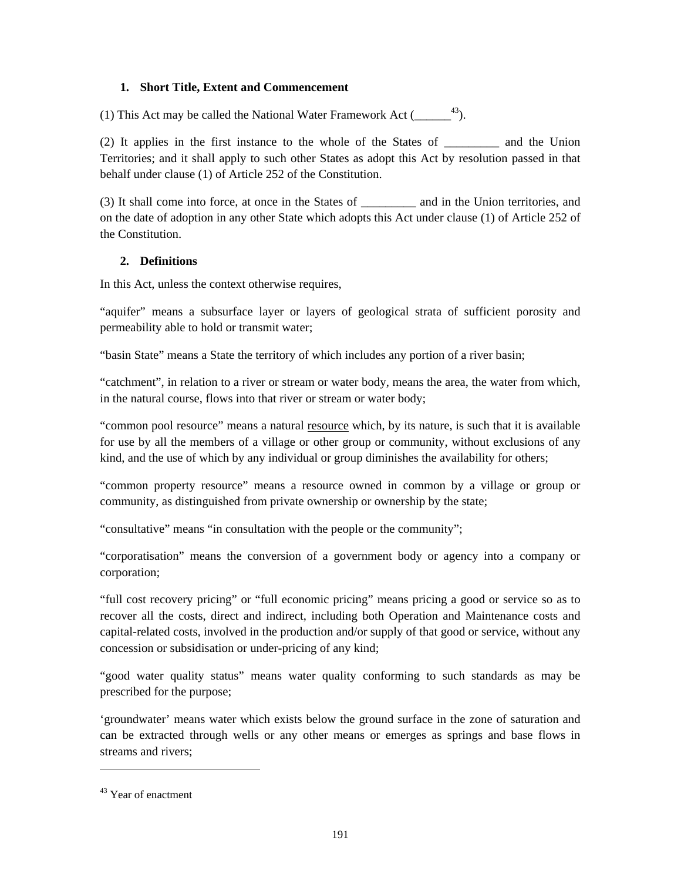#### **1. Short Title, Extent and Commencement**

(1) This Act may be called the National Water Framework Act  $(1 - \frac{43}{2})$ .

(2) It applies in the first instance to the whole of the States of \_\_\_\_\_\_\_\_\_ and the Union Territories; and it shall apply to such other States as adopt this Act by resolution passed in that behalf under clause (1) of Article 252 of the Constitution.

(3) It shall come into force, at once in the States of and in the Union territories, and on the date of adoption in any other State which adopts this Act under clause (1) of Article 252 of the Constitution.

# **2. Definitions**

In this Act, unless the context otherwise requires,

"aquifer" means a subsurface layer or layers of geological strata of sufficient porosity and permeability able to hold or transmit water;

"basin State" means a State the territory of which includes any portion of a river basin;

"catchment", in relation to a river or stream or water body, means the area, the water from which, in the natural course, flows into that river or stream or water body;

"common pool resource" means a natural resource which, by its nature, is such that it is available for use by all the members of a village or other group or community, without exclusions of any kind, and the use of which by any individual or group diminishes the availability for others;

"common property resource" means a resource owned in common by a village or group or community, as distinguished from private ownership or ownership by the state;

"consultative" means "in consultation with the people or the community";

"corporatisation" means the conversion of a government body or agency into a company or corporation;

"full cost recovery pricing" or "full economic pricing" means pricing a good or service so as to recover all the costs, direct and indirect, including both Operation and Maintenance costs and capital-related costs, involved in the production and/or supply of that good or service, without any concession or subsidisation or under-pricing of any kind;

"good water quality status" means water quality conforming to such standards as may be prescribed for the purpose;

'groundwater' means water which exists below the ground surface in the zone of saturation and can be extracted through wells or any other means or emerges as springs and base flows in streams and rivers;

1

<sup>43</sup> Year of enactment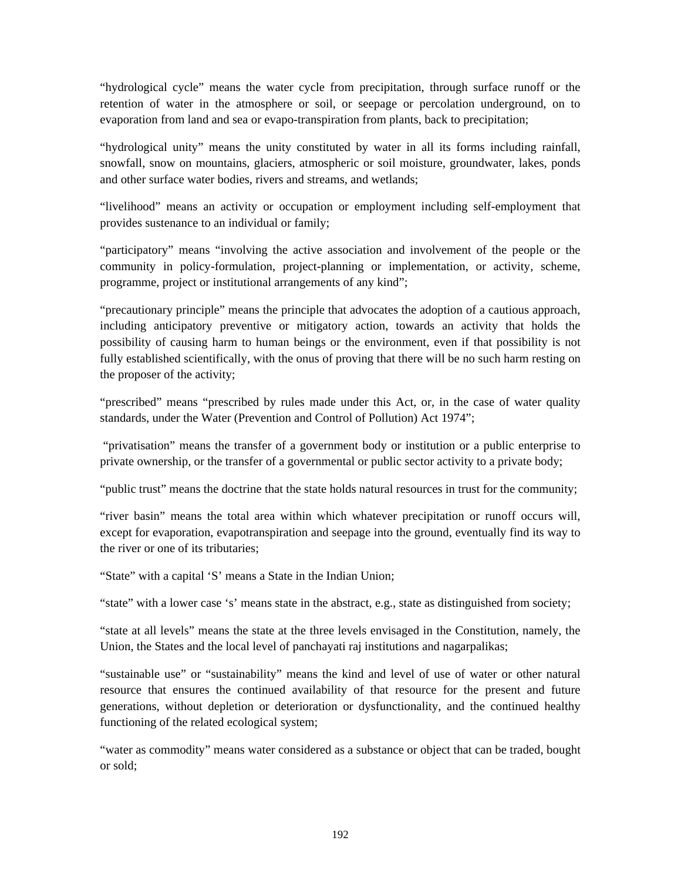"hydrological cycle" means the water cycle from precipitation, through surface runoff or the retention of water in the atmosphere or soil, or seepage or percolation underground, on to evaporation from land and sea or evapo-transpiration from plants, back to precipitation;

"hydrological unity" means the unity constituted by water in all its forms including rainfall, snowfall, snow on mountains, glaciers, atmospheric or soil moisture, groundwater, lakes, ponds and other surface water bodies, rivers and streams, and wetlands;

"livelihood" means an activity or occupation or employment including self-employment that provides sustenance to an individual or family;

"participatory" means "involving the active association and involvement of the people or the community in policy-formulation, project-planning or implementation, or activity, scheme, programme, project or institutional arrangements of any kind";

"precautionary principle" means the principle that advocates the adoption of a cautious approach, including anticipatory preventive or mitigatory action, towards an activity that holds the possibility of causing harm to human beings or the environment, even if that possibility is not fully established scientifically, with the onus of proving that there will be no such harm resting on the proposer of the activity;

"prescribed" means "prescribed by rules made under this Act, or, in the case of water quality standards, under the Water (Prevention and Control of Pollution) Act 1974";

 "privatisation" means the transfer of a government body or institution or a public enterprise to private ownership, or the transfer of a governmental or public sector activity to a private body;

"public trust" means the doctrine that the state holds natural resources in trust for the community;

"river basin" means the total area within which whatever precipitation or runoff occurs will, except for evaporation, evapotranspiration and seepage into the ground, eventually find its way to the river or one of its tributaries;

"State" with a capital 'S' means a State in the Indian Union;

"state" with a lower case 's' means state in the abstract, e.g., state as distinguished from society;

"state at all levels" means the state at the three levels envisaged in the Constitution, namely, the Union, the States and the local level of panchayati raj institutions and nagarpalikas;

"sustainable use" or "sustainability" means the kind and level of use of water or other natural resource that ensures the continued availability of that resource for the present and future generations, without depletion or deterioration or dysfunctionality, and the continued healthy functioning of the related ecological system;

"water as commodity" means water considered as a substance or object that can be traded, bought or sold;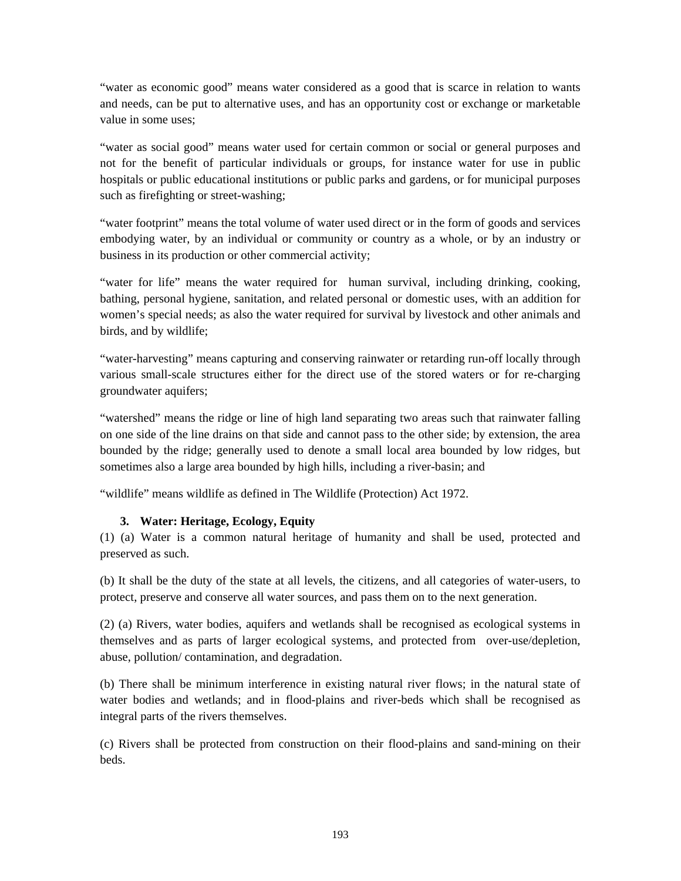"water as economic good" means water considered as a good that is scarce in relation to wants and needs, can be put to alternative uses, and has an opportunity cost or exchange or marketable value in some uses;

"water as social good" means water used for certain common or social or general purposes and not for the benefit of particular individuals or groups, for instance water for use in public hospitals or public educational institutions or public parks and gardens, or for municipal purposes such as firefighting or street-washing;

"water footprint" means the total volume of water used direct or in the form of goods and services embodying water, by an individual or community or country as a whole, or by an industry or business in its production or other commercial activity;

"water for life" means the water required for human survival, including drinking, cooking, bathing, personal hygiene, sanitation, and related personal or domestic uses, with an addition for women's special needs; as also the water required for survival by livestock and other animals and birds, and by wildlife;

"water-harvesting" means capturing and conserving rainwater or retarding run-off locally through various small-scale structures either for the direct use of the stored waters or for re-charging groundwater aquifers;

"watershed" means the ridge or line of high land separating two areas such that rainwater falling on one side of the line drains on that side and cannot pass to the other side; by extension, the area bounded by the ridge; generally used to denote a small local area bounded by low ridges, but sometimes also a large area bounded by high hills, including a river-basin; and

"wildlife" means wildlife as defined in The Wildlife (Protection) Act 1972.

# **3. Water: Heritage, Ecology, Equity**

(1) (a) Water is a common natural heritage of humanity and shall be used, protected and preserved as such.

(b) It shall be the duty of the state at all levels, the citizens, and all categories of water-users, to protect, preserve and conserve all water sources, and pass them on to the next generation.

(2) (a) Rivers, water bodies, aquifers and wetlands shall be recognised as ecological systems in themselves and as parts of larger ecological systems, and protected from over-use/depletion, abuse, pollution/ contamination, and degradation.

(b) There shall be minimum interference in existing natural river flows; in the natural state of water bodies and wetlands; and in flood-plains and river-beds which shall be recognised as integral parts of the rivers themselves.

(c) Rivers shall be protected from construction on their flood-plains and sand-mining on their beds.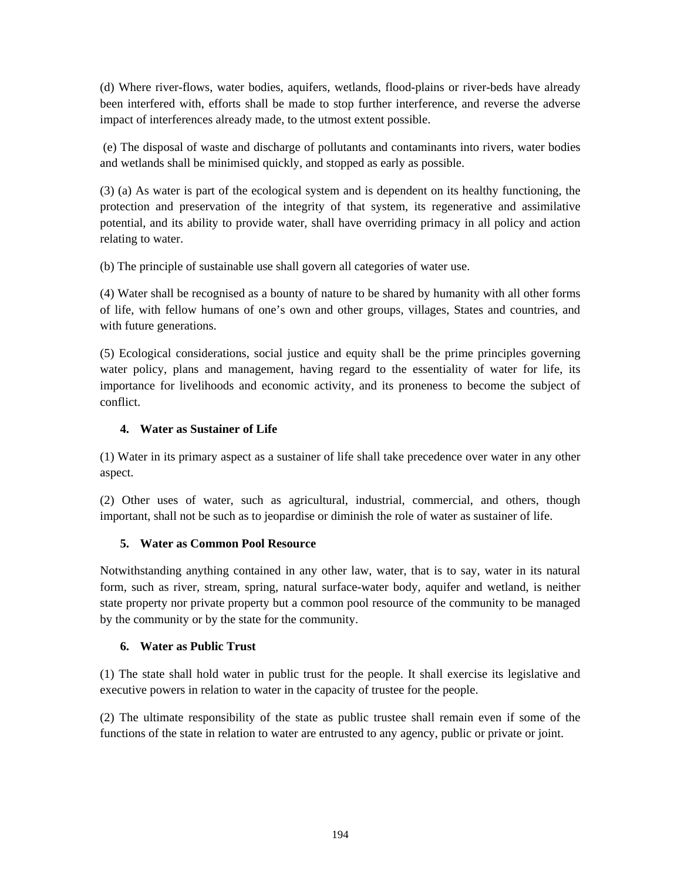(d) Where river-flows, water bodies, aquifers, wetlands, flood-plains or river-beds have already been interfered with, efforts shall be made to stop further interference, and reverse the adverse impact of interferences already made, to the utmost extent possible.

 (e) The disposal of waste and discharge of pollutants and contaminants into rivers, water bodies and wetlands shall be minimised quickly, and stopped as early as possible.

(3) (a) As water is part of the ecological system and is dependent on its healthy functioning, the protection and preservation of the integrity of that system, its regenerative and assimilative potential, and its ability to provide water, shall have overriding primacy in all policy and action relating to water.

(b) The principle of sustainable use shall govern all categories of water use.

(4) Water shall be recognised as a bounty of nature to be shared by humanity with all other forms of life, with fellow humans of one's own and other groups, villages, States and countries, and with future generations.

(5) Ecological considerations, social justice and equity shall be the prime principles governing water policy, plans and management, having regard to the essentiality of water for life, its importance for livelihoods and economic activity, and its proneness to become the subject of conflict.

# **4. Water as Sustainer of Life**

(1) Water in its primary aspect as a sustainer of life shall take precedence over water in any other aspect.

(2) Other uses of water, such as agricultural, industrial, commercial, and others, though important, shall not be such as to jeopardise or diminish the role of water as sustainer of life.

#### **5. Water as Common Pool Resource**

Notwithstanding anything contained in any other law, water, that is to say, water in its natural form, such as river, stream, spring, natural surface-water body, aquifer and wetland, is neither state property nor private property but a common pool resource of the community to be managed by the community or by the state for the community.

#### **6. Water as Public Trust**

(1) The state shall hold water in public trust for the people. It shall exercise its legislative and executive powers in relation to water in the capacity of trustee for the people.

(2) The ultimate responsibility of the state as public trustee shall remain even if some of the functions of the state in relation to water are entrusted to any agency, public or private or joint.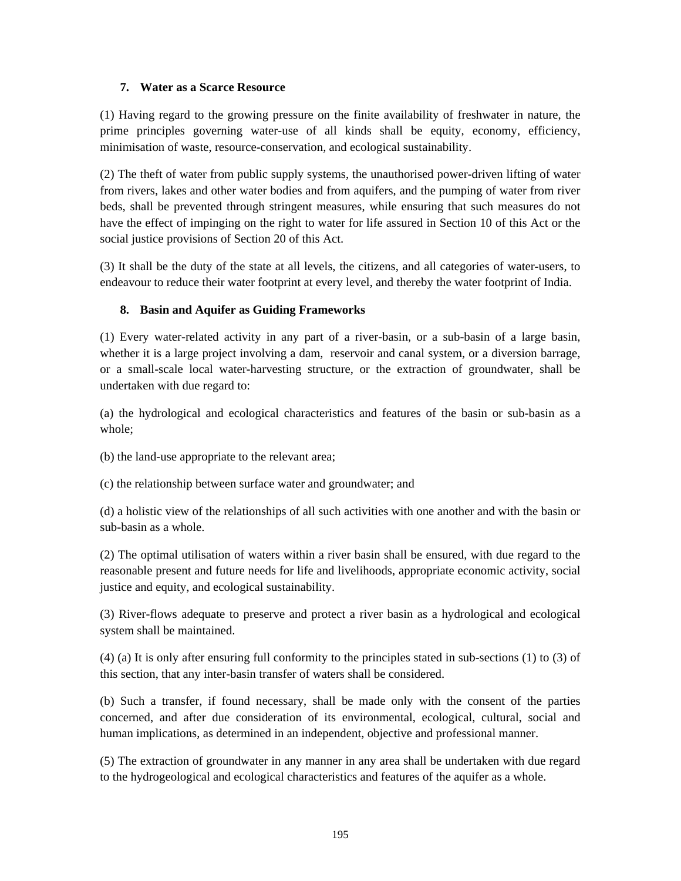#### **7. Water as a Scarce Resource**

(1) Having regard to the growing pressure on the finite availability of freshwater in nature, the prime principles governing water-use of all kinds shall be equity, economy, efficiency, minimisation of waste, resource-conservation, and ecological sustainability.

(2) The theft of water from public supply systems, the unauthorised power-driven lifting of water from rivers, lakes and other water bodies and from aquifers, and the pumping of water from river beds, shall be prevented through stringent measures, while ensuring that such measures do not have the effect of impinging on the right to water for life assured in Section 10 of this Act or the social justice provisions of Section 20 of this Act.

(3) It shall be the duty of the state at all levels, the citizens, and all categories of water-users, to endeavour to reduce their water footprint at every level, and thereby the water footprint of India.

# **8. Basin and Aquifer as Guiding Frameworks**

(1) Every water-related activity in any part of a river-basin, or a sub-basin of a large basin, whether it is a large project involving a dam, reservoir and canal system, or a diversion barrage, or a small-scale local water-harvesting structure, or the extraction of groundwater, shall be undertaken with due regard to:

(a) the hydrological and ecological characteristics and features of the basin or sub-basin as a whole;

(b) the land-use appropriate to the relevant area;

(c) the relationship between surface water and groundwater; and

(d) a holistic view of the relationships of all such activities with one another and with the basin or sub-basin as a whole.

(2) The optimal utilisation of waters within a river basin shall be ensured, with due regard to the reasonable present and future needs for life and livelihoods, appropriate economic activity, social justice and equity, and ecological sustainability.

(3) River-flows adequate to preserve and protect a river basin as a hydrological and ecological system shall be maintained.

(4) (a) It is only after ensuring full conformity to the principles stated in sub-sections (1) to (3) of this section, that any inter-basin transfer of waters shall be considered.

(b) Such a transfer, if found necessary, shall be made only with the consent of the parties concerned, and after due consideration of its environmental, ecological, cultural, social and human implications, as determined in an independent, objective and professional manner.

(5) The extraction of groundwater in any manner in any area shall be undertaken with due regard to the hydrogeological and ecological characteristics and features of the aquifer as a whole.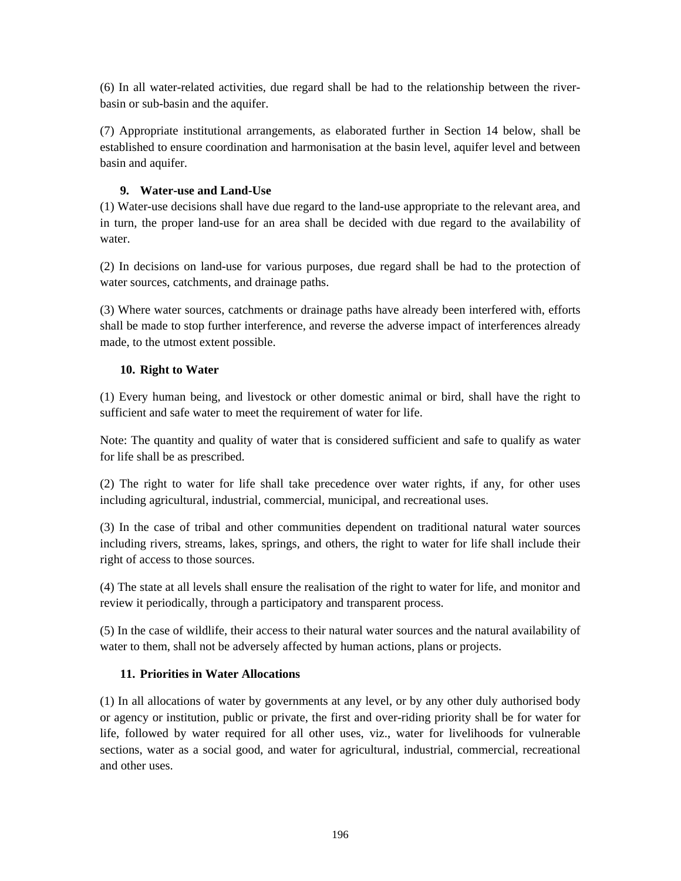(6) In all water-related activities, due regard shall be had to the relationship between the riverbasin or sub-basin and the aquifer.

(7) Appropriate institutional arrangements, as elaborated further in Section 14 below, shall be established to ensure coordination and harmonisation at the basin level, aquifer level and between basin and aquifer.

### **9. Water-use and Land-Use**

(1) Water-use decisions shall have due regard to the land-use appropriate to the relevant area, and in turn, the proper land-use for an area shall be decided with due regard to the availability of water.

(2) In decisions on land-use for various purposes, due regard shall be had to the protection of water sources, catchments, and drainage paths.

(3) Where water sources, catchments or drainage paths have already been interfered with, efforts shall be made to stop further interference, and reverse the adverse impact of interferences already made, to the utmost extent possible.

#### **10. Right to Water**

(1) Every human being, and livestock or other domestic animal or bird, shall have the right to sufficient and safe water to meet the requirement of water for life.

Note: The quantity and quality of water that is considered sufficient and safe to qualify as water for life shall be as prescribed.

(2) The right to water for life shall take precedence over water rights, if any, for other uses including agricultural, industrial, commercial, municipal, and recreational uses.

(3) In the case of tribal and other communities dependent on traditional natural water sources including rivers, streams, lakes, springs, and others, the right to water for life shall include their right of access to those sources.

(4) The state at all levels shall ensure the realisation of the right to water for life, and monitor and review it periodically, through a participatory and transparent process.

(5) In the case of wildlife, their access to their natural water sources and the natural availability of water to them, shall not be adversely affected by human actions, plans or projects.

# **11. Priorities in Water Allocations**

(1) In all allocations of water by governments at any level, or by any other duly authorised body or agency or institution, public or private, the first and over-riding priority shall be for water for life, followed by water required for all other uses, viz., water for livelihoods for vulnerable sections, water as a social good, and water for agricultural, industrial, commercial, recreational and other uses.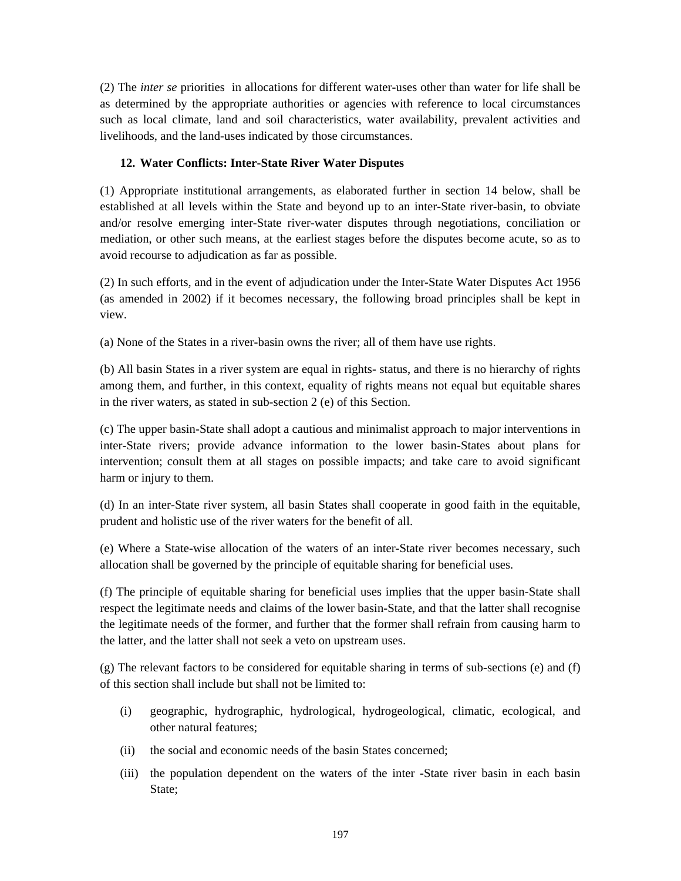(2) The *inter se* priorities in allocations for different water-uses other than water for life shall be as determined by the appropriate authorities or agencies with reference to local circumstances such as local climate, land and soil characteristics, water availability, prevalent activities and livelihoods, and the land-uses indicated by those circumstances.

### **12. Water Conflicts: Inter-State River Water Disputes**

(1) Appropriate institutional arrangements, as elaborated further in section 14 below, shall be established at all levels within the State and beyond up to an inter-State river-basin, to obviate and/or resolve emerging inter-State river-water disputes through negotiations, conciliation or mediation, or other such means, at the earliest stages before the disputes become acute, so as to avoid recourse to adjudication as far as possible.

(2) In such efforts, and in the event of adjudication under the Inter-State Water Disputes Act 1956 (as amended in 2002) if it becomes necessary, the following broad principles shall be kept in view.

(a) None of the States in a river-basin owns the river; all of them have use rights.

(b) All basin States in a river system are equal in rights- status, and there is no hierarchy of rights among them, and further, in this context, equality of rights means not equal but equitable shares in the river waters, as stated in sub-section 2 (e) of this Section.

(c) The upper basin-State shall adopt a cautious and minimalist approach to major interventions in inter-State rivers; provide advance information to the lower basin-States about plans for intervention; consult them at all stages on possible impacts; and take care to avoid significant harm or injury to them.

(d) In an inter-State river system, all basin States shall cooperate in good faith in the equitable, prudent and holistic use of the river waters for the benefit of all.

(e) Where a State-wise allocation of the waters of an inter-State river becomes necessary, such allocation shall be governed by the principle of equitable sharing for beneficial uses.

(f) The principle of equitable sharing for beneficial uses implies that the upper basin-State shall respect the legitimate needs and claims of the lower basin-State, and that the latter shall recognise the legitimate needs of the former, and further that the former shall refrain from causing harm to the latter, and the latter shall not seek a veto on upstream uses.

(g) The relevant factors to be considered for equitable sharing in terms of sub-sections (e) and (f) of this section shall include but shall not be limited to:

- (i) geographic, hydrographic, hydrological, hydrogeological, climatic, ecological, and other natural features;
- (ii) the social and economic needs of the basin States concerned;
- (iii) the population dependent on the waters of the inter -State river basin in each basin State;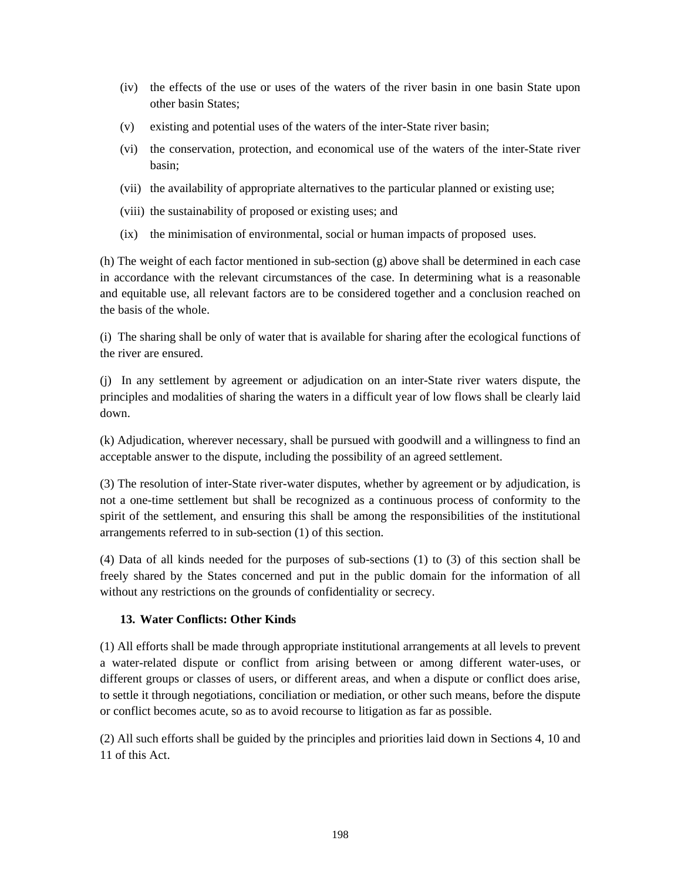- (iv) the effects of the use or uses of the waters of the river basin in one basin State upon other basin States;
- (v) existing and potential uses of the waters of the inter-State river basin;
- (vi) the conservation, protection, and economical use of the waters of the inter-State river basin;
- (vii) the availability of appropriate alternatives to the particular planned or existing use;
- (viii) the sustainability of proposed or existing uses; and
- (ix) the minimisation of environmental, social or human impacts of proposed uses.

(h) The weight of each factor mentioned in sub-section (g) above shall be determined in each case in accordance with the relevant circumstances of the case. In determining what is a reasonable and equitable use, all relevant factors are to be considered together and a conclusion reached on the basis of the whole.

(i) The sharing shall be only of water that is available for sharing after the ecological functions of the river are ensured.

(j) In any settlement by agreement or adjudication on an inter-State river waters dispute, the principles and modalities of sharing the waters in a difficult year of low flows shall be clearly laid down.

(k) Adjudication, wherever necessary, shall be pursued with goodwill and a willingness to find an acceptable answer to the dispute, including the possibility of an agreed settlement.

(3) The resolution of inter-State river-water disputes, whether by agreement or by adjudication, is not a one-time settlement but shall be recognized as a continuous process of conformity to the spirit of the settlement, and ensuring this shall be among the responsibilities of the institutional arrangements referred to in sub-section (1) of this section.

(4) Data of all kinds needed for the purposes of sub-sections (1) to (3) of this section shall be freely shared by the States concerned and put in the public domain for the information of all without any restrictions on the grounds of confidentiality or secrecy.

# **13. Water Conflicts: Other Kinds**

(1) All efforts shall be made through appropriate institutional arrangements at all levels to prevent a water-related dispute or conflict from arising between or among different water-uses, or different groups or classes of users, or different areas, and when a dispute or conflict does arise, to settle it through negotiations, conciliation or mediation, or other such means, before the dispute or conflict becomes acute, so as to avoid recourse to litigation as far as possible.

(2) All such efforts shall be guided by the principles and priorities laid down in Sections 4, 10 and 11 of this Act.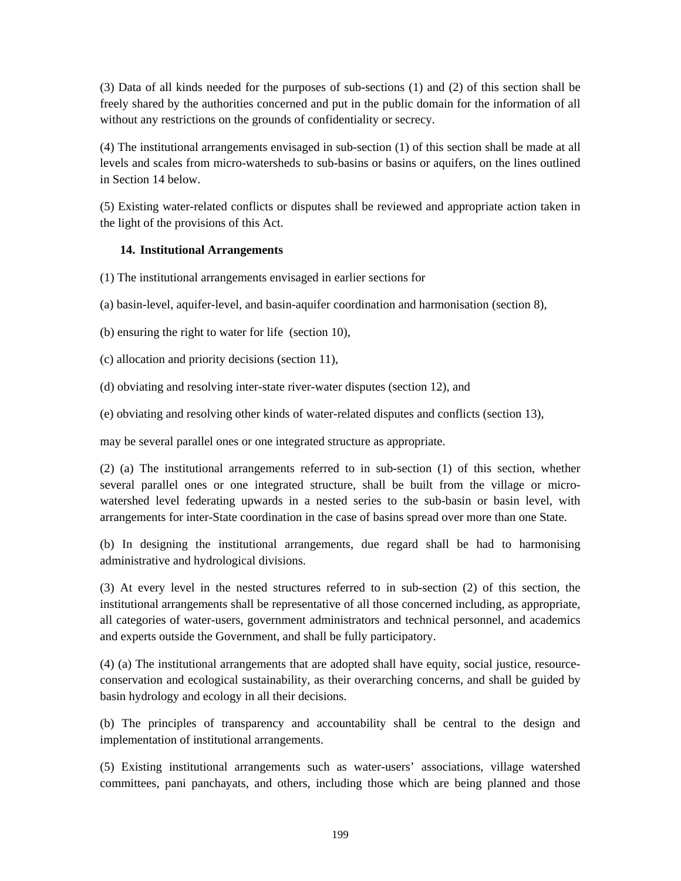(3) Data of all kinds needed for the purposes of sub-sections (1) and (2) of this section shall be freely shared by the authorities concerned and put in the public domain for the information of all without any restrictions on the grounds of confidentiality or secrecy.

(4) The institutional arrangements envisaged in sub-section (1) of this section shall be made at all levels and scales from micro-watersheds to sub-basins or basins or aquifers, on the lines outlined in Section 14 below.

(5) Existing water-related conflicts or disputes shall be reviewed and appropriate action taken in the light of the provisions of this Act.

#### **14. Institutional Arrangements**

(1) The institutional arrangements envisaged in earlier sections for

(a) basin-level, aquifer-level, and basin-aquifer coordination and harmonisation (section 8),

(b) ensuring the right to water for life (section 10),

(c) allocation and priority decisions (section 11),

(d) obviating and resolving inter-state river-water disputes (section 12), and

(e) obviating and resolving other kinds of water-related disputes and conflicts (section 13),

may be several parallel ones or one integrated structure as appropriate.

(2) (a) The institutional arrangements referred to in sub-section (1) of this section, whether several parallel ones or one integrated structure, shall be built from the village or microwatershed level federating upwards in a nested series to the sub-basin or basin level, with arrangements for inter-State coordination in the case of basins spread over more than one State.

(b) In designing the institutional arrangements, due regard shall be had to harmonising administrative and hydrological divisions.

(3) At every level in the nested structures referred to in sub-section (2) of this section, the institutional arrangements shall be representative of all those concerned including, as appropriate, all categories of water-users, government administrators and technical personnel, and academics and experts outside the Government, and shall be fully participatory.

(4) (a) The institutional arrangements that are adopted shall have equity, social justice, resourceconservation and ecological sustainability, as their overarching concerns, and shall be guided by basin hydrology and ecology in all their decisions.

(b) The principles of transparency and accountability shall be central to the design and implementation of institutional arrangements.

(5) Existing institutional arrangements such as water-users' associations, village watershed committees, pani panchayats, and others, including those which are being planned and those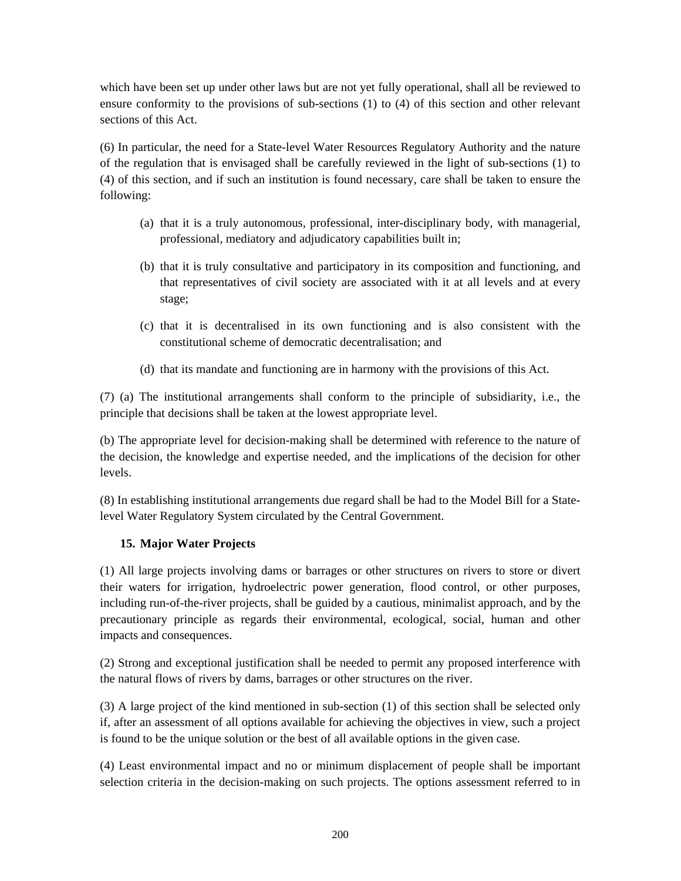which have been set up under other laws but are not yet fully operational, shall all be reviewed to ensure conformity to the provisions of sub-sections (1) to (4) of this section and other relevant sections of this Act.

(6) In particular, the need for a State-level Water Resources Regulatory Authority and the nature of the regulation that is envisaged shall be carefully reviewed in the light of sub-sections (1) to (4) of this section, and if such an institution is found necessary, care shall be taken to ensure the following:

- (a) that it is a truly autonomous, professional, inter-disciplinary body, with managerial, professional, mediatory and adjudicatory capabilities built in;
- (b) that it is truly consultative and participatory in its composition and functioning, and that representatives of civil society are associated with it at all levels and at every stage;
- (c) that it is decentralised in its own functioning and is also consistent with the constitutional scheme of democratic decentralisation; and
- (d) that its mandate and functioning are in harmony with the provisions of this Act.

(7) (a) The institutional arrangements shall conform to the principle of subsidiarity, i.e., the principle that decisions shall be taken at the lowest appropriate level.

(b) The appropriate level for decision-making shall be determined with reference to the nature of the decision, the knowledge and expertise needed, and the implications of the decision for other levels.

(8) In establishing institutional arrangements due regard shall be had to the Model Bill for a Statelevel Water Regulatory System circulated by the Central Government.

#### **15. Major Water Projects**

(1) All large projects involving dams or barrages or other structures on rivers to store or divert their waters for irrigation, hydroelectric power generation, flood control, or other purposes, including run-of-the-river projects, shall be guided by a cautious, minimalist approach, and by the precautionary principle as regards their environmental, ecological, social, human and other impacts and consequences.

(2) Strong and exceptional justification shall be needed to permit any proposed interference with the natural flows of rivers by dams, barrages or other structures on the river.

(3) A large project of the kind mentioned in sub-section (1) of this section shall be selected only if, after an assessment of all options available for achieving the objectives in view, such a project is found to be the unique solution or the best of all available options in the given case*.* 

(4) Least environmental impact and no or minimum displacement of people shall be important selection criteria in the decision-making on such projects. The options assessment referred to in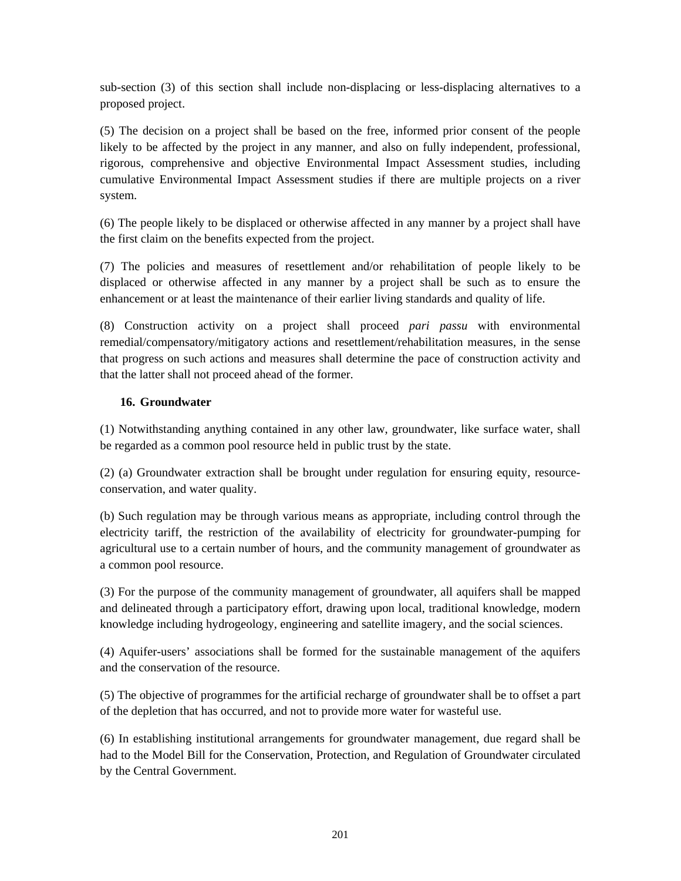sub-section (3) of this section shall include non-displacing or less-displacing alternatives to a proposed project.

(5) The decision on a project shall be based on the free, informed prior consent of the people likely to be affected by the project in any manner, and also on fully independent, professional, rigorous, comprehensive and objective Environmental Impact Assessment studies, including cumulative Environmental Impact Assessment studies if there are multiple projects on a river system.

(6) The people likely to be displaced or otherwise affected in any manner by a project shall have the first claim on the benefits expected from the project.

(7) The policies and measures of resettlement and/or rehabilitation of people likely to be displaced or otherwise affected in any manner by a project shall be such as to ensure the enhancement or at least the maintenance of their earlier living standards and quality of life.

(8) Construction activity on a project shall proceed *pari passu* with environmental remedial/compensatory/mitigatory actions and resettlement/rehabilitation measures, in the sense that progress on such actions and measures shall determine the pace of construction activity and that the latter shall not proceed ahead of the former.

#### **16. Groundwater**

(1) Notwithstanding anything contained in any other law, groundwater, like surface water, shall be regarded as a common pool resource held in public trust by the state.

(2) (a) Groundwater extraction shall be brought under regulation for ensuring equity, resourceconservation, and water quality.

(b) Such regulation may be through various means as appropriate, including control through the electricity tariff, the restriction of the availability of electricity for groundwater-pumping for agricultural use to a certain number of hours, and the community management of groundwater as a common pool resource.

(3) For the purpose of the community management of groundwater, all aquifers shall be mapped and delineated through a participatory effort, drawing upon local, traditional knowledge, modern knowledge including hydrogeology, engineering and satellite imagery, and the social sciences.

(4) Aquifer-users' associations shall be formed for the sustainable management of the aquifers and the conservation of the resource.

(5) The objective of programmes for the artificial recharge of groundwater shall be to offset a part of the depletion that has occurred, and not to provide more water for wasteful use.

(6) In establishing institutional arrangements for groundwater management, due regard shall be had to the Model Bill for the Conservation, Protection, and Regulation of Groundwater circulated by the Central Government.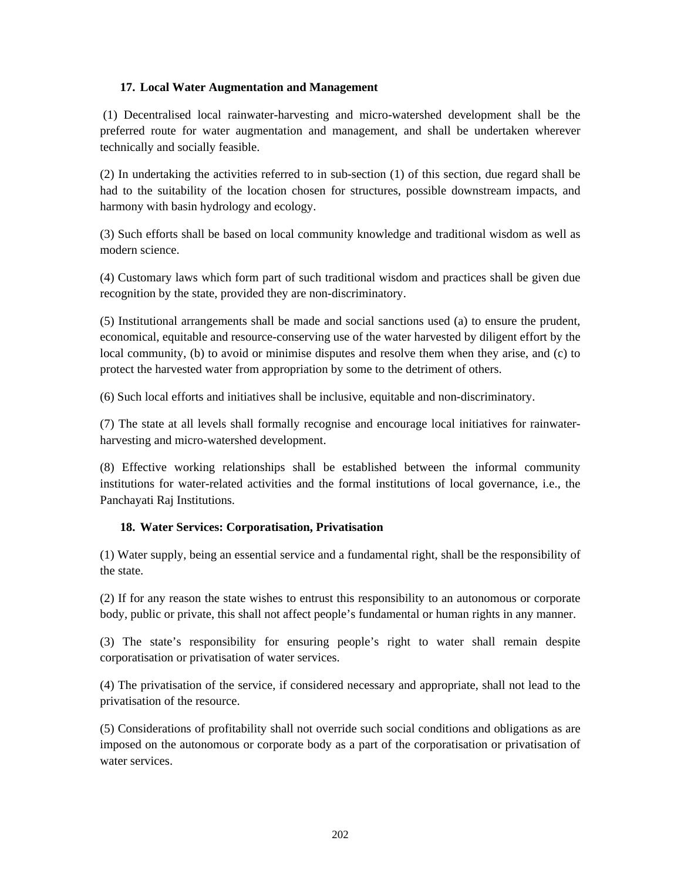#### **17. Local Water Augmentation and Management**

 (1) Decentralised local rainwater-harvesting and micro-watershed development shall be the preferred route for water augmentation and management, and shall be undertaken wherever technically and socially feasible.

(2) In undertaking the activities referred to in sub-section (1) of this section, due regard shall be had to the suitability of the location chosen for structures, possible downstream impacts, and harmony with basin hydrology and ecology.

(3) Such efforts shall be based on local community knowledge and traditional wisdom as well as modern science.

(4) Customary laws which form part of such traditional wisdom and practices shall be given due recognition by the state, provided they are non-discriminatory.

(5) Institutional arrangements shall be made and social sanctions used (a) to ensure the prudent, economical, equitable and resource-conserving use of the water harvested by diligent effort by the local community, (b) to avoid or minimise disputes and resolve them when they arise, and (c) to protect the harvested water from appropriation by some to the detriment of others.

(6) Such local efforts and initiatives shall be inclusive, equitable and non-discriminatory.

(7) The state at all levels shall formally recognise and encourage local initiatives for rainwaterharvesting and micro-watershed development.

(8) Effective working relationships shall be established between the informal community institutions for water-related activities and the formal institutions of local governance, i.e., the Panchayati Raj Institutions.

# **18. Water Services: Corporatisation, Privatisation**

(1) Water supply, being an essential service and a fundamental right, shall be the responsibility of the state.

(2) If for any reason the state wishes to entrust this responsibility to an autonomous or corporate body, public or private, this shall not affect people's fundamental or human rights in any manner.

(3) The state's responsibility for ensuring people's right to water shall remain despite corporatisation or privatisation of water services.

(4) The privatisation of the service, if considered necessary and appropriate, shall not lead to the privatisation of the resource.

(5) Considerations of profitability shall not override such social conditions and obligations as are imposed on the autonomous or corporate body as a part of the corporatisation or privatisation of water services.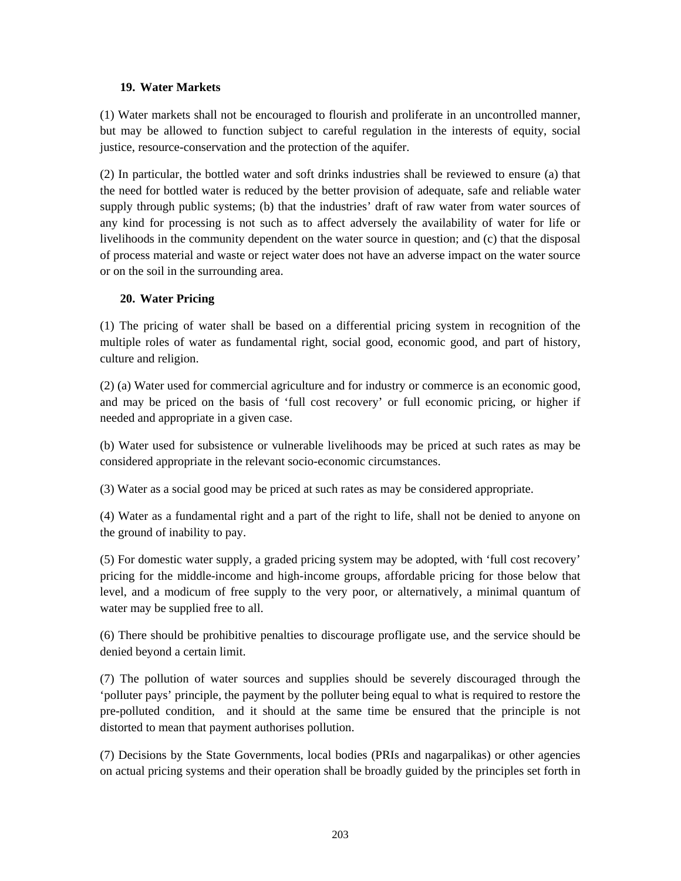#### **19. Water Markets**

(1) Water markets shall not be encouraged to flourish and proliferate in an uncontrolled manner, but may be allowed to function subject to careful regulation in the interests of equity, social justice, resource-conservation and the protection of the aquifer.

(2) In particular, the bottled water and soft drinks industries shall be reviewed to ensure (a) that the need for bottled water is reduced by the better provision of adequate, safe and reliable water supply through public systems; (b) that the industries' draft of raw water from water sources of any kind for processing is not such as to affect adversely the availability of water for life or livelihoods in the community dependent on the water source in question; and (c) that the disposal of process material and waste or reject water does not have an adverse impact on the water source or on the soil in the surrounding area.

#### **20. Water Pricing**

(1) The pricing of water shall be based on a differential pricing system in recognition of the multiple roles of water as fundamental right, social good, economic good, and part of history, culture and religion.

(2) (a) Water used for commercial agriculture and for industry or commerce is an economic good, and may be priced on the basis of 'full cost recovery' or full economic pricing, or higher if needed and appropriate in a given case.

(b) Water used for subsistence or vulnerable livelihoods may be priced at such rates as may be considered appropriate in the relevant socio-economic circumstances.

(3) Water as a social good may be priced at such rates as may be considered appropriate.

(4) Water as a fundamental right and a part of the right to life, shall not be denied to anyone on the ground of inability to pay.

(5) For domestic water supply, a graded pricing system may be adopted, with 'full cost recovery' pricing for the middle-income and high-income groups, affordable pricing for those below that level, and a modicum of free supply to the very poor, or alternatively, a minimal quantum of water may be supplied free to all.

(6) There should be prohibitive penalties to discourage profligate use, and the service should be denied beyond a certain limit.

(7) The pollution of water sources and supplies should be severely discouraged through the 'polluter pays' principle, the payment by the polluter being equal to what is required to restore the pre-polluted condition, and it should at the same time be ensured that the principle is not distorted to mean that payment authorises pollution.

(7) Decisions by the State Governments, local bodies (PRIs and nagarpalikas) or other agencies on actual pricing systems and their operation shall be broadly guided by the principles set forth in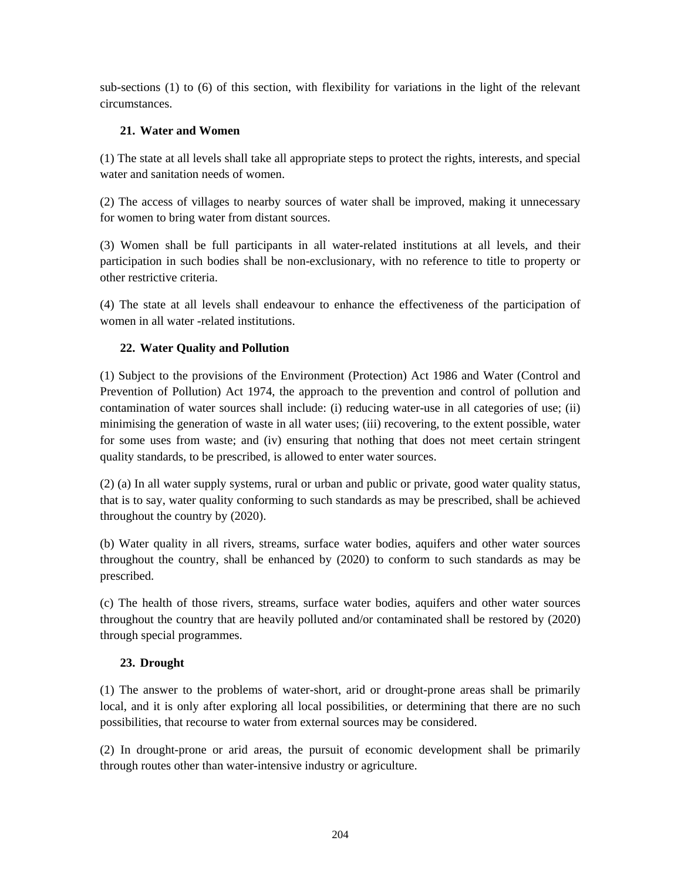sub-sections (1) to (6) of this section, with flexibility for variations in the light of the relevant circumstances.

# **21. Water and Women**

(1) The state at all levels shall take all appropriate steps to protect the rights, interests, and special water and sanitation needs of women.

(2) The access of villages to nearby sources of water shall be improved, making it unnecessary for women to bring water from distant sources.

(3) Women shall be full participants in all water-related institutions at all levels, and their participation in such bodies shall be non-exclusionary, with no reference to title to property or other restrictive criteria.

(4) The state at all levels shall endeavour to enhance the effectiveness of the participation of women in all water -related institutions.

# **22. Water Quality and Pollution**

(1) Subject to the provisions of the Environment (Protection) Act 1986 and Water (Control and Prevention of Pollution) Act 1974, the approach to the prevention and control of pollution and contamination of water sources shall include: (i) reducing water-use in all categories of use; (ii) minimising the generation of waste in all water uses; (iii) recovering, to the extent possible, water for some uses from waste; and (iv) ensuring that nothing that does not meet certain stringent quality standards, to be prescribed, is allowed to enter water sources.

(2) (a) In all water supply systems, rural or urban and public or private, good water quality status, that is to say, water quality conforming to such standards as may be prescribed, shall be achieved throughout the country by (2020).

(b) Water quality in all rivers, streams, surface water bodies, aquifers and other water sources throughout the country, shall be enhanced by (2020) to conform to such standards as may be prescribed.

(c) The health of those rivers, streams, surface water bodies, aquifers and other water sources throughout the country that are heavily polluted and/or contaminated shall be restored by (2020) through special programmes.

# **23. Drought**

(1) The answer to the problems of water-short, arid or drought-prone areas shall be primarily local, and it is only after exploring all local possibilities, or determining that there are no such possibilities, that recourse to water from external sources may be considered.

(2) In drought-prone or arid areas, the pursuit of economic development shall be primarily through routes other than water-intensive industry or agriculture.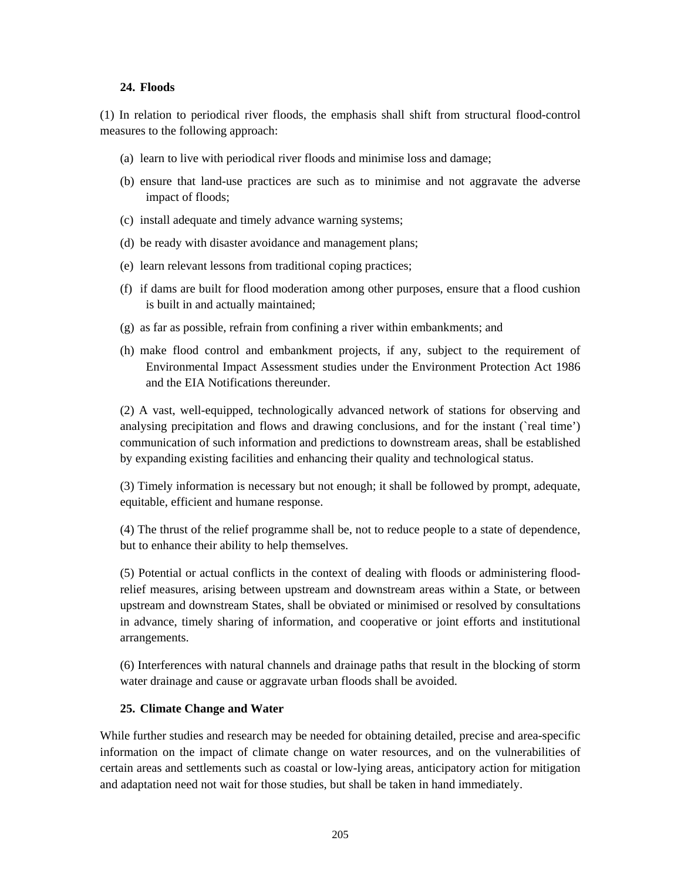#### **24. Floods**

(1) In relation to periodical river floods, the emphasis shall shift from structural flood-control measures to the following approach:

- (a) learn to live with periodical river floods and minimise loss and damage;
- (b) ensure that land-use practices are such as to minimise and not aggravate the adverse impact of floods;
- (c) install adequate and timely advance warning systems;
- (d) be ready with disaster avoidance and management plans;
- (e) learn relevant lessons from traditional coping practices;
- (f) if dams are built for flood moderation among other purposes, ensure that a flood cushion is built in and actually maintained;
- (g) as far as possible, refrain from confining a river within embankments; and
- (h) make flood control and embankment projects, if any, subject to the requirement of Environmental Impact Assessment studies under the Environment Protection Act 1986 and the EIA Notifications thereunder.

(2) A vast, well-equipped, technologically advanced network of stations for observing and analysing precipitation and flows and drawing conclusions, and for the instant (`real time') communication of such information and predictions to downstream areas, shall be established by expanding existing facilities and enhancing their quality and technological status.

(3) Timely information is necessary but not enough; it shall be followed by prompt, adequate, equitable, efficient and humane response.

(4) The thrust of the relief programme shall be, not to reduce people to a state of dependence, but to enhance their ability to help themselves.

(5) Potential or actual conflicts in the context of dealing with floods or administering floodrelief measures, arising between upstream and downstream areas within a State, or between upstream and downstream States, shall be obviated or minimised or resolved by consultations in advance, timely sharing of information, and cooperative or joint efforts and institutional arrangements.

(6) Interferences with natural channels and drainage paths that result in the blocking of storm water drainage and cause or aggravate urban floods shall be avoided.

#### **25. Climate Change and Water**

While further studies and research may be needed for obtaining detailed, precise and area-specific information on the impact of climate change on water resources*,* and on the vulnerabilities of certain areas and settlements such as coastal or low-lying areas, anticipatory action for mitigation and adaptation need not wait for those studies, but shall be taken in hand immediately.